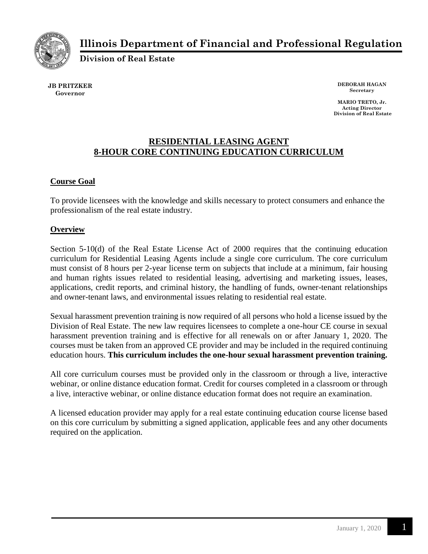

# **Illinois Department of Financial and Professional Regulation**

**Division of Real Estate**

**JB PRITZKER Governor**

**DEBORAH HAGAN Secretary**

**MARIO TRETO, Jr. Acting Director Division of Real Estate**

## **RESIDENTIAL LEASING AGENT 8-HOUR CORE CONTINUING EDUCATION CURRICULUM**

### **Course Goal**

To provide licensees with the knowledge and skills necessary to protect consumers and enhance the professionalism of the real estate industry.

#### **Overview**

Section 5-10(d) of the Real Estate License Act of 2000 requires that the continuing education curriculum for Residential Leasing Agents include a single core curriculum. The core curriculum must consist of 8 hours per 2-year license term on subjects that include at a minimum, fair housing and human rights issues related to residential leasing, advertising and marketing issues, leases, applications, credit reports, and criminal history, the handling of funds, owner-tenant relationships and owner-tenant laws, and environmental issues relating to residential real estate.

Sexual harassment prevention training is now required of all persons who hold a license issued by the Division of Real Estate. The new law requires licensees to complete a one-hour CE course in sexual harassment prevention training and is effective for all renewals on or after January 1, 2020. The courses must be taken from an approved CE provider and may be included in the required continuing education hours. **This curriculum includes the one-hour sexual harassment prevention training.**

All core curriculum courses must be provided only in the classroom or through a live, interactive webinar, or online distance education format. Credit for courses completed in a classroom or through a live, interactive webinar, or online distance education format does not require an examination.

A licensed education provider may apply for a real estate continuing education course license based on this core curriculum by submitting a signed application, applicable fees and any other documents required on the application.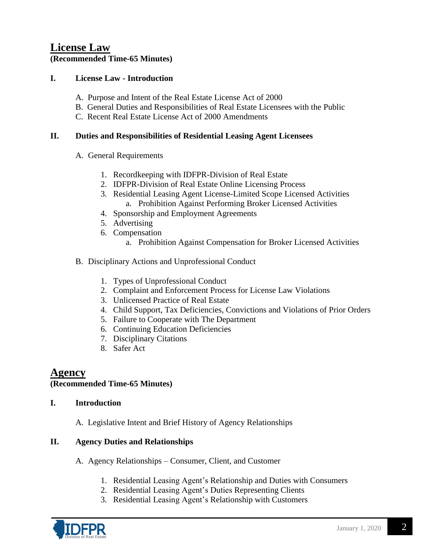# **License Law**

**(Recommended Time-65 Minutes)**

#### **I. License Law - Introduction**

- A. Purpose and Intent of the Real Estate License Act of 2000
- B. General Duties and Responsibilities of Real Estate Licensees with the Public
- C. Recent Real Estate License Act of 2000 Amendments

#### **II. Duties and Responsibilities of Residential Leasing Agent Licensees**

- A. General Requirements
	- 1. Recordkeeping with IDFPR-Division of Real Estate
	- 2. IDFPR-Division of Real Estate Online Licensing Process
	- 3. Residential Leasing Agent License-Limited Scope Licensed Activities a. Prohibition Against Performing Broker Licensed Activities
	- 4. Sponsorship and Employment Agreements
	- 5. Advertising
	- 6. Compensation
		- a. Prohibition Against Compensation for Broker Licensed Activities
- B. Disciplinary Actions and Unprofessional Conduct
	- 1. Types of Unprofessional Conduct
	- 2. Complaint and Enforcement Process for License Law Violations
	- 3. Unlicensed Practice of Real Estate
	- 4. Child Support, Tax Deficiencies, Convictions and Violations of Prior Orders
	- 5. Failure to Cooperate with The Department
	- 6. Continuing Education Deficiencies
	- 7. Disciplinary Citations
	- 8. Safer Act

# **Agency**

#### **(Recommended Time-65 Minutes)**

#### **I. Introduction**

A. Legislative Intent and Brief History of Agency Relationships

#### **II. Agency Duties and Relationships**

- A. Agency Relationships Consumer, Client, and Customer
	- 1. Residential Leasing Agent's Relationship and Duties with Consumers
	- 2. Residential Leasing Agent's Duties Representing Clients
	- 3. Residential Leasing Agent's Relationship with Customers

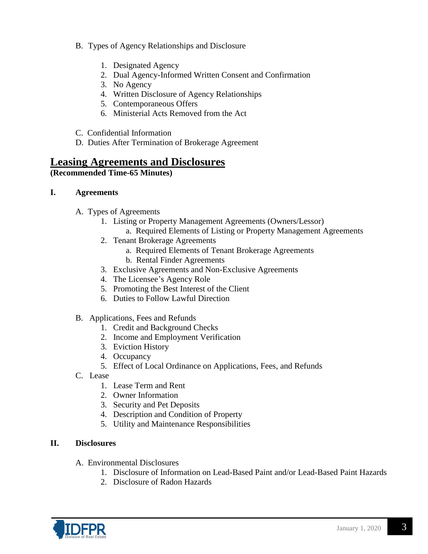- B. Types of Agency Relationships and Disclosure
	- 1. Designated Agency
	- 2. Dual Agency-Informed Written Consent and Confirmation
	- 3. No Agency
	- 4. Written Disclosure of Agency Relationships
	- 5. Contemporaneous Offers
	- 6. Ministerial Acts Removed from the Act
- C. Confidential Information
- D. Duties After Termination of Brokerage Agreement

# **Leasing Agreements and Disclosures**

#### **(Recommended Time-65 Minutes)**

#### **I. Agreements**

- A. Types of Agreements
	- 1. Listing or Property Management Agreements (Owners/Lessor)
		- a. Required Elements of Listing or Property Management Agreements
	- 2. Tenant Brokerage Agreements
		- a. Required Elements of Tenant Brokerage Agreements
		- b. Rental Finder Agreements
	- 3. Exclusive Agreements and Non-Exclusive Agreements
	- 4. The Licensee's Agency Role
	- 5. Promoting the Best Interest of the Client
	- 6. Duties to Follow Lawful Direction
- B. Applications, Fees and Refunds
	- 1. Credit and Background Checks
	- 2. Income and Employment Verification
	- 3. Eviction History
	- 4. Occupancy
	- 5. Effect of Local Ordinance on Applications, Fees, and Refunds
- C. Lease
	- 1. Lease Term and Rent
	- 2. Owner Information
	- 3. Security and Pet Deposits
	- 4. Description and Condition of Property
	- 5. Utility and Maintenance Responsibilities

#### **II. Disclosures**

- A. Environmental Disclosures
	- 1. Disclosure of Information on Lead-Based Paint and/or Lead-Based Paint Hazards
	- 2. Disclosure of Radon Hazards

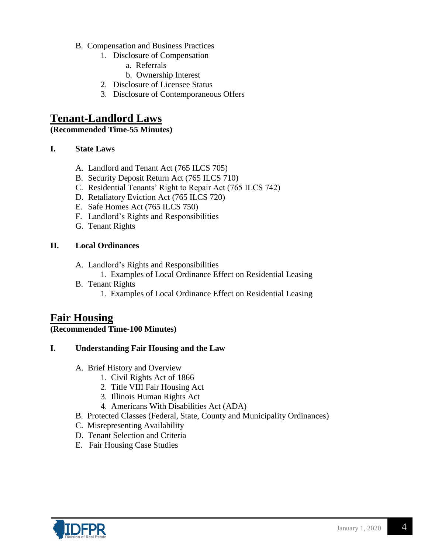- B. Compensation and Business Practices
	- 1. Disclosure of Compensation
		- a. Referrals
		- b. Ownership Interest
	- 2. Disclosure of Licensee Status
	- 3. Disclosure of Contemporaneous Offers

# **Tenant-Landlord Laws**

**(Recommended Time-55 Minutes)**

#### **I. State Laws**

- A. Landlord and Tenant Act (765 ILCS 705)
- B. Security Deposit Return Act (765 ILCS 710)
- C. Residential Tenants' Right to Repair Act (765 ILCS 742)
- D. Retaliatory Eviction Act (765 ILCS 720)
- E. Safe Homes Act (765 ILCS 750)
- F. Landlord's Rights and Responsibilities
- G. Tenant Rights

### **II. Local Ordinances**

- A. Landlord's Rights and Responsibilities
	- 1. Examples of Local Ordinance Effect on Residential Leasing
- B. Tenant Rights
	- 1. Examples of Local Ordinance Effect on Residential Leasing

# **Fair Housing**

#### **(Recommended Time-100 Minutes)**

## **I. Understanding Fair Housing and the Law**

- A. Brief History and Overview
	- 1. Civil Rights Act of 1866
	- 2. Title VIII Fair Housing Act
	- 3. Illinois Human Rights Act
	- 4. Americans With Disabilities Act (ADA)
- B. Protected Classes (Federal, State, County and Municipality Ordinances)
- C. Misrepresenting Availability
- D. Tenant Selection and Criteria
- E. Fair Housing Case Studies